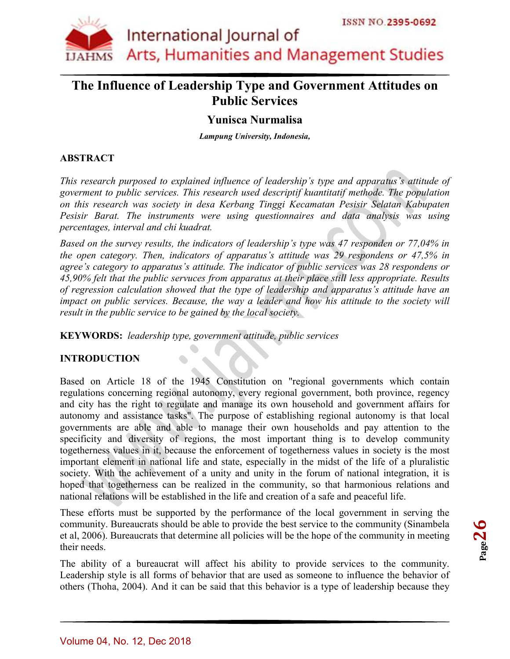

# **The Influence of Leadership Type and Government Attitudes on Public Services**

# **Yunisca Nurmalisa**

*Lampung University, Indonesia,* 

#### **ABSTRACT**

*This research purposed to explained influence of leadership's type and apparatus's attitude of goverment to public services. This research used descriptif kuantitatif methode. The population on this research was society in desa Kerbang Tinggi Kecamatan Pesisir Selatan Kabupaten Pesisir Barat. The instruments were using questionnaires and data analysis was using percentages, interval and chi kuadrat.*

*Based on the survey results, the indicators of leadership's type was 47 responden or 77,04% in the open category. Then, indicators of apparatus's attitude was 29 respondens or 47,5% in agree's category to apparatus's attitude. The indicator of public services was 28 respondens or 45,90% felt that the public servuces from apparatus at their place still less appropriate. Results of regression calculation showed that the type of leadership and apparatus's attitude have an impact on public services. Because, the way a leader and how his attitude to the society will result in the public service to be gained by the local society.*

**KEYWORDS:** *leadership type, government attitude, public services*

# **INTRODUCTION**

Based on Article 18 of the 1945 Constitution on "regional governments which contain regulations concerning regional autonomy, every regional government, both province, regency and city has the right to regulate and manage its own household and government affairs for autonomy and assistance tasks". The purpose of establishing regional autonomy is that local governments are able and able to manage their own households and pay attention to the specificity and diversity of regions, the most important thing is to develop community togetherness values in it, because the enforcement of togetherness values in society is the most important element in national life and state, especially in the midst of the life of a pluralistic society. With the achievement of a unity and unity in the forum of national integration, it is hoped that togetherness can be realized in the community, so that harmonious relations and national relations will be established in the life and creation of a safe and peaceful life.

These efforts must be supported by the performance of the local government in serving the community. Bureaucrats should be able to provide the best service to the community (Sinambela et al, 2006). Bureaucrats that determine all policies will be the hope of the community in meeting their needs.

The ability of a bureaucrat will affect his ability to provide services to the community. Leadership style is all forms of behavior that are used as someone to influence the behavior of others (Thoha, 2004). And it can be said that this behavior is a type of leadership because they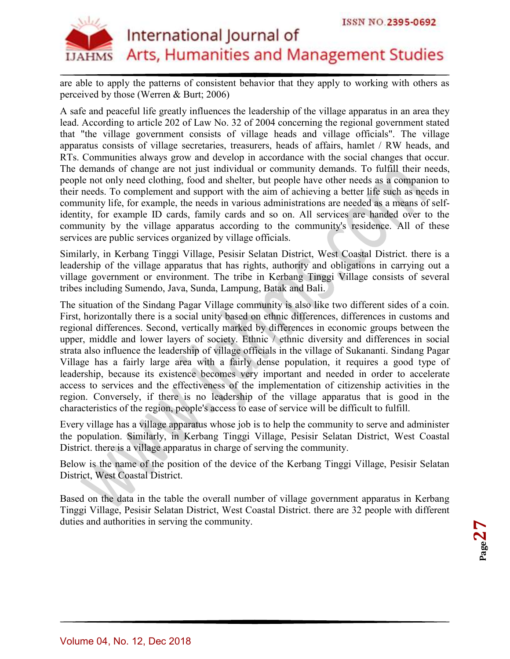

# ISSN NO.2395-0692 International Journal of Arts, Humanities and Management Studies

are able to apply the patterns of consistent behavior that they apply to working with others as perceived by those (Werren & Burt; 2006)

A safe and peaceful life greatly influences the leadership of the village apparatus in an area they lead. According to article 202 of Law No. 32 of 2004 concerning the regional government stated that "the village government consists of village heads and village officials". The village apparatus consists of village secretaries, treasurers, heads of affairs, hamlet / RW heads, and RTs. Communities always grow and develop in accordance with the social changes that occur. The demands of change are not just individual or community demands. To fulfill their needs, people not only need clothing, food and shelter, but people have other needs as a companion to their needs. To complement and support with the aim of achieving a better life such as needs in community life, for example, the needs in various administrations are needed as a means of selfidentity, for example ID cards, family cards and so on. All services are handed over to the community by the village apparatus according to the community's residence. All of these services are public services organized by village officials.

Similarly, in Kerbang Tinggi Village, Pesisir Selatan District, West Coastal District. there is a leadership of the village apparatus that has rights, authority and obligations in carrying out a village government or environment. The tribe in Kerbang Tinggi Village consists of several tribes including Sumendo, Java, Sunda, Lampung, Batak and Bali.

The situation of the Sindang Pagar Village community is also like two different sides of a coin. First, horizontally there is a social unity based on ethnic differences, differences in customs and regional differences. Second, vertically marked by differences in economic groups between the upper, middle and lower layers of society. Ethnic / ethnic diversity and differences in social strata also influence the leadership of village officials in the village of Sukananti. Sindang Pagar Village has a fairly large area with a fairly dense population, it requires a good type of leadership, because its existence becomes very important and needed in order to accelerate access to services and the effectiveness of the implementation of citizenship activities in the region. Conversely, if there is no leadership of the village apparatus that is good in the characteristics of the region, people's access to ease of service will be difficult to fulfill.

Every village has a village apparatus whose job is to help the community to serve and administer the population. Similarly, in Kerbang Tinggi Village, Pesisir Selatan District, West Coastal District. there is a village apparatus in charge of serving the community.

Below is the name of the position of the device of the Kerbang Tinggi Village, Pesisir Selatan District, West Coastal District.

Based on the data in the table the overall number of village government apparatus in Kerbang Tinggi Village, Pesisir Selatan District, West Coastal District. there are 32 people with different duties and authorities in serving the community.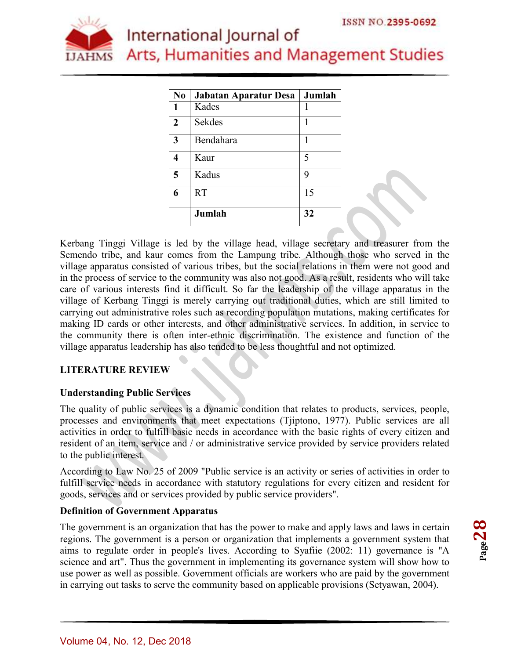

| No             | Jabatan Aparatur Desa | Jumlah |
|----------------|-----------------------|--------|
| 1              | Kades                 |        |
| $\overline{2}$ | <b>Sekdes</b>         | 1      |
| 3              | Bendahara             | 1      |
| 4              | Kaur                  | 5      |
| 5              | Kadus                 | 9      |
| 6              | RT                    | 15     |
|                | Jumlah                | 32     |

Kerbang Tinggi Village is led by the village head, village secretary and treasurer from the Semendo tribe, and kaur comes from the Lampung tribe. Although those who served in the village apparatus consisted of various tribes, but the social relations in them were not good and in the process of service to the community was also not good. As a result, residents who will take care of various interests find it difficult. So far the leadership of the village apparatus in the village of Kerbang Tinggi is merely carrying out traditional duties, which are still limited to carrying out administrative roles such as recording population mutations, making certificates for making ID cards or other interests, and other administrative services. In addition, in service to the community there is often inter-ethnic discrimination. The existence and function of the village apparatus leadership has also tended to be less thoughtful and not optimized.

# **LITERATURE REVIEW**

# **Understanding Public Services**

The quality of public services is a dynamic condition that relates to products, services, people, processes and environments that meet expectations (Tjiptono, 1977). Public services are all activities in order to fulfill basic needs in accordance with the basic rights of every citizen and resident of an item, service and / or administrative service provided by service providers related to the public interest.

According to Law No. 25 of 2009 "Public service is an activity or series of activities in order to fulfill service needs in accordance with statutory regulations for every citizen and resident for goods, services and or services provided by public service providers".

#### **Definition of Government Apparatus**

The government is an organization that has the power to make and apply laws and laws in certain regions. The government is a person or organization that implements a government system that aims to regulate order in people's lives. According to Syafiie (2002: 11) governance is "A science and art". Thus the government in implementing its governance system will show how to use power as well as possible. Government officials are workers who are paid by the government in carrying out tasks to serve the community based on applicable provisions (Setyawan, 2004).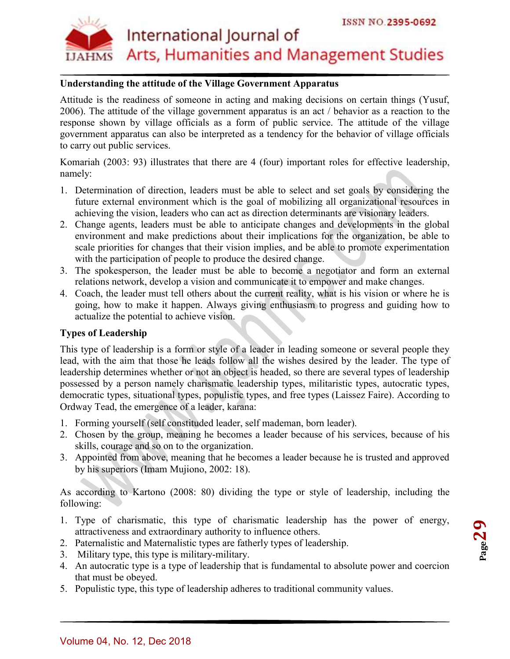

#### **Understanding the attitude of the Village Government Apparatus**

Attitude is the readiness of someone in acting and making decisions on certain things (Yusuf, 2006). The attitude of the village government apparatus is an act / behavior as a reaction to the response shown by village officials as a form of public service. The attitude of the village government apparatus can also be interpreted as a tendency for the behavior of village officials to carry out public services.

Komariah (2003: 93) illustrates that there are 4 (four) important roles for effective leadership, namely:

- 1. Determination of direction, leaders must be able to select and set goals by considering the future external environment which is the goal of mobilizing all organizational resources in achieving the vision, leaders who can act as direction determinants are visionary leaders.
- 2. Change agents, leaders must be able to anticipate changes and developments in the global environment and make predictions about their implications for the organization, be able to scale priorities for changes that their vision implies, and be able to promote experimentation with the participation of people to produce the desired change.
- 3. The spokesperson, the leader must be able to become a negotiator and form an external relations network, develop a vision and communicate it to empower and make changes.
- 4. Coach, the leader must tell others about the current reality, what is his vision or where he is going, how to make it happen. Always giving enthusiasm to progress and guiding how to actualize the potential to achieve vision.

#### **Types of Leadership**

This type of leadership is a form or style of a leader in leading someone or several people they lead, with the aim that those he leads follow all the wishes desired by the leader. The type of leadership determines whether or not an object is headed, so there are several types of leadership possessed by a person namely charismatic leadership types, militaristic types, autocratic types, democratic types, situational types, populistic types, and free types (Laissez Faire). According to Ordway Tead, the emergence of a leader, karana:

- 1. Forming yourself (self constituded leader, self mademan, born leader).
- 2. Chosen by the group, meaning he becomes a leader because of his services, because of his skills, courage and so on to the organization.
- 3. Appointed from above, meaning that he becomes a leader because he is trusted and approved by his superiors (Imam Mujiono, 2002: 18).

As according to Kartono (2008: 80) dividing the type or style of leadership, including the following:

- 1. Type of charismatic, this type of charismatic leadership has the power of energy, attractiveness and extraordinary authority to influence others.
- 2. Paternalistic and Maternalistic types are fatherly types of leadership.
- 3. Military type, this type is military-military.
- 4. An autocratic type is a type of leadership that is fundamental to absolute power and coercion that must be obeyed.
- 5. Populistic type, this type of leadership adheres to traditional community values.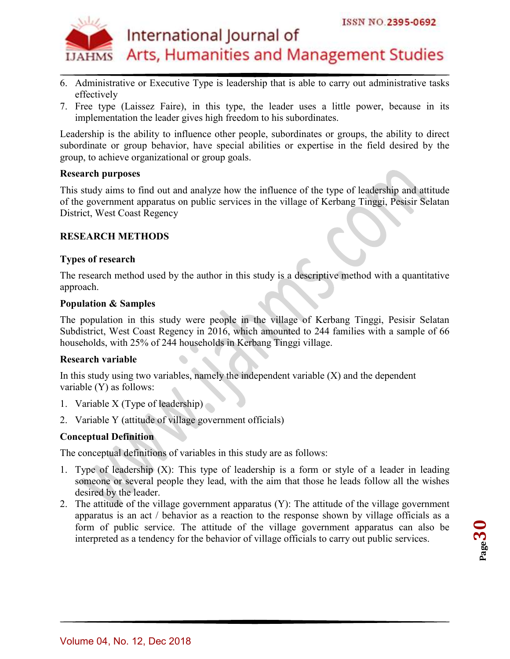

- 6. Administrative or Executive Type is leadership that is able to carry out administrative tasks effectively
- 7. Free type (Laissez Faire), in this type, the leader uses a little power, because in its implementation the leader gives high freedom to his subordinates.

Leadership is the ability to influence other people, subordinates or groups, the ability to direct subordinate or group behavior, have special abilities or expertise in the field desired by the group, to achieve organizational or group goals.

#### **Research purposes**

This study aims to find out and analyze how the influence of the type of leadership and attitude of the government apparatus on public services in the village of Kerbang Tinggi, Pesisir Selatan District, West Coast Regency

#### **RESEARCH METHODS**

#### **Types of research**

The research method used by the author in this study is a descriptive method with a quantitative approach.

#### **Population & Samples**

The population in this study were people in the village of Kerbang Tinggi, Pesisir Selatan Subdistrict, West Coast Regency in 2016, which amounted to 244 families with a sample of 66 households, with 25% of 244 households in Kerbang Tinggi village.

#### **Research variable**

In this study using two variables, namely the independent variable  $(X)$  and the dependent variable (Y) as follows:

- 1. Variable X (Type of leadership)
- 2. Variable Y (attitude of village government officials)

#### **Conceptual Definition**

The conceptual definitions of variables in this study are as follows:

- 1. Type of leadership (X): This type of leadership is a form or style of a leader in leading someone or several people they lead, with the aim that those he leads follow all the wishes desired by the leader.
- 2. The attitude of the village government apparatus (Y): The attitude of the village government apparatus is an act / behavior as a reaction to the response shown by village officials as a form of public service. The attitude of the village government apparatus can also be interpreted as a tendency for the behavior of village officials to carry out public services.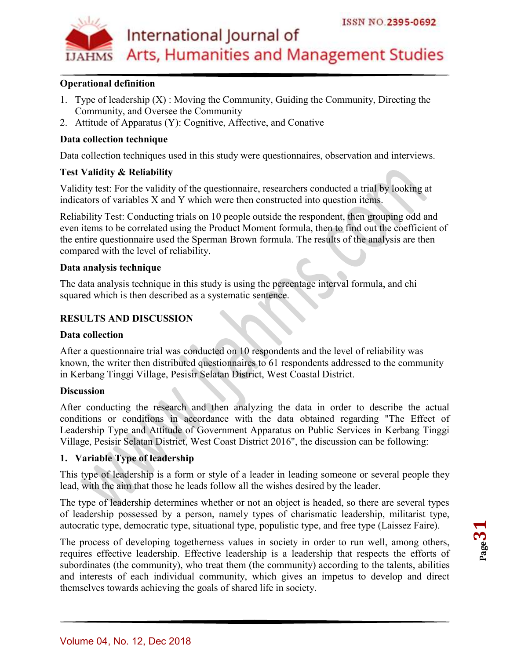

#### **Operational definition**

- 1. Type of leadership  $(X)$ : Moving the Community, Guiding the Community, Directing the Community, and Oversee the Community
- 2. Attitude of Apparatus (Y): Cognitive, Affective, and Conative

#### **Data collection technique**

Data collection techniques used in this study were questionnaires, observation and interviews.

# **Test Validity & Reliability**

Validity test: For the validity of the questionnaire, researchers conducted a trial by looking at indicators of variables X and Y which were then constructed into question items.

Reliability Test: Conducting trials on 10 people outside the respondent, then grouping odd and even items to be correlated using the Product Moment formula, then to find out the coefficient of the entire questionnaire used the Sperman Brown formula. The results of the analysis are then compared with the level of reliability.

#### **Data analysis technique**

The data analysis technique in this study is using the percentage interval formula, and chi squared which is then described as a systematic sentence.

#### **RESULTS AND DISCUSSION**

#### **Data collection**

After a questionnaire trial was conducted on 10 respondents and the level of reliability was known, the writer then distributed questionnaires to 61 respondents addressed to the community in Kerbang Tinggi Village, Pesisir Selatan District, West Coastal District.

#### **Discussion**

After conducting the research and then analyzing the data in order to describe the actual conditions or conditions in accordance with the data obtained regarding "The Effect of Leadership Type and Attitude of Government Apparatus on Public Services in Kerbang Tinggi Village, Pesisir Selatan District, West Coast District 2016", the discussion can be following:

#### **1. Variable Type of leadership**

This type of leadership is a form or style of a leader in leading someone or several people they lead, with the aim that those he leads follow all the wishes desired by the leader.

The type of leadership determines whether or not an object is headed, so there are several types of leadership possessed by a person, namely types of charismatic leadership, militarist type, autocratic type, democratic type, situational type, populistic type, and free type (Laissez Faire).

The process of developing togetherness values in society in order to run well, among others, requires effective leadership. Effective leadership is a leadership that respects the efforts of subordinates (the community), who treat them (the community) according to the talents, abilities and interests of each individual community, which gives an impetus to develop and direct themselves towards achieving the goals of shared life in society.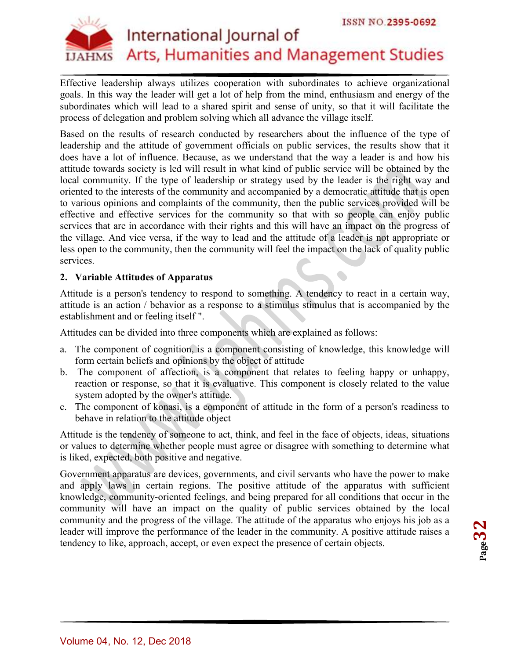

#### ISSN NO.2395-0692

Arts, Humanities and Management Studies

Effective leadership always utilizes cooperation with subordinates to achieve organizational goals. In this way the leader will get a lot of help from the mind, enthusiasm and energy of the subordinates which will lead to a shared spirit and sense of unity, so that it will facilitate the process of delegation and problem solving which all advance the village itself.

International Journal of

Based on the results of research conducted by researchers about the influence of the type of leadership and the attitude of government officials on public services, the results show that it does have a lot of influence. Because, as we understand that the way a leader is and how his attitude towards society is led will result in what kind of public service will be obtained by the local community. If the type of leadership or strategy used by the leader is the right way and oriented to the interests of the community and accompanied by a democratic attitude that is open to various opinions and complaints of the community, then the public services provided will be effective and effective services for the community so that with so people can enjoy public services that are in accordance with their rights and this will have an impact on the progress of the village. And vice versa, if the way to lead and the attitude of a leader is not appropriate or less open to the community, then the community will feel the impact on the lack of quality public services.

#### **2. Variable Attitudes of Apparatus**

Attitude is a person's tendency to respond to something. A tendency to react in a certain way, attitude is an action / behavior as a response to a stimulus stimulus that is accompanied by the establishment and or feeling itself ".

Attitudes can be divided into three components which are explained as follows:

- a. The component of cognition, is a component consisting of knowledge, this knowledge will form certain beliefs and opinions by the object of attitude
- b. The component of affection, is a component that relates to feeling happy or unhappy, reaction or response, so that it is evaluative. This component is closely related to the value system adopted by the owner's attitude.
- c. The component of konasi, is a component of attitude in the form of a person's readiness to behave in relation to the attitude object

Attitude is the tendency of someone to act, think, and feel in the face of objects, ideas, situations or values to determine whether people must agree or disagree with something to determine what is liked, expected, both positive and negative.

Government apparatus are devices, governments, and civil servants who have the power to make and apply laws in certain regions. The positive attitude of the apparatus with sufficient knowledge, community-oriented feelings, and being prepared for all conditions that occur in the community will have an impact on the quality of public services obtained by the local community and the progress of the village. The attitude of the apparatus who enjoys his job as a leader will improve the performance of the leader in the community. A positive attitude raises a tendency to like, approach, accept, or even expect the presence of certain objects.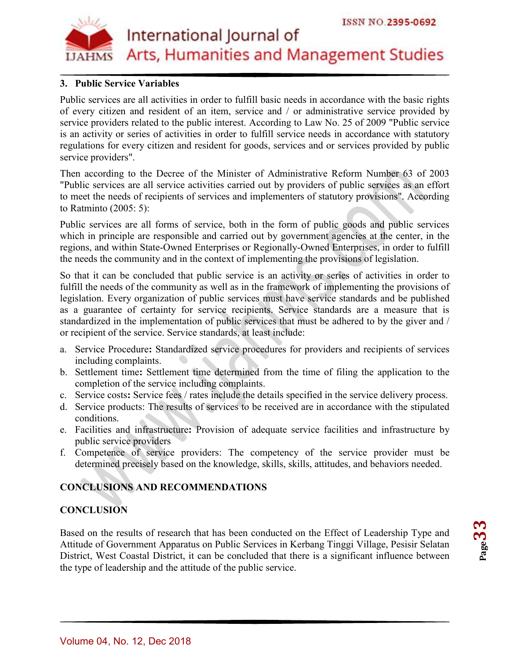

# International Journal of Arts, Humanities and Management Studies

#### **3. Public Service Variables**

Public services are all activities in order to fulfill basic needs in accordance with the basic rights of every citizen and resident of an item, service and / or administrative service provided by service providers related to the public interest. According to Law No. 25 of 2009 "Public service is an activity or series of activities in order to fulfill service needs in accordance with statutory regulations for every citizen and resident for goods, services and or services provided by public service providers".

Then according to the Decree of the Minister of Administrative Reform Number 63 of 2003 "Public services are all service activities carried out by providers of public services as an effort to meet the needs of recipients of services and implementers of statutory provisions". According to Ratminto (2005: 5):

Public services are all forms of service, both in the form of public goods and public services which in principle are responsible and carried out by government agencies at the center, in the regions, and within State-Owned Enterprises or Regionally-Owned Enterprises, in order to fulfill the needs the community and in the context of implementing the provisions of legislation.

So that it can be concluded that public service is an activity or series of activities in order to fulfill the needs of the community as well as in the framework of implementing the provisions of legislation. Every organization of public services must have service standards and be published as a guarantee of certainty for service recipients. Service standards are a measure that is standardized in the implementation of public services that must be adhered to by the giver and / or recipient of the service. Service standards, at least include:

- a. Service Procedure**:** Standardized service procedures for providers and recipients of services including complaints.
- b. Settlement time**:** Settlement time determined from the time of filing the application to the completion of the service including complaints.
- c. Service costs**:** Service fees / rates include the details specified in the service delivery process.
- d. Service products: The results of services to be received are in accordance with the stipulated conditions.
- e. Facilities and infrastructure**:** Provision of adequate service facilities and infrastructure by public service providers
- f. Competence of service providers: The competency of the service provider must be determined precisely based on the knowledge, skills, skills, attitudes, and behaviors needed.

# **CONCLUSIONS AND RECOMMENDATIONS**

#### **CONCLUSION**

Based on the results of research that has been conducted on the Effect of Leadership Type and Attitude of Government Apparatus on Public Services in Kerbang Tinggi Village, Pesisir Selatan District, West Coastal District, it can be concluded that there is a significant influence between the type of leadership and the attitude of the public service.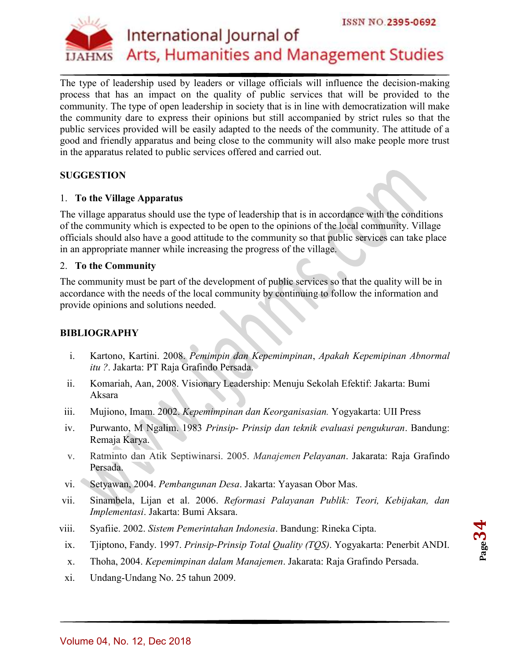

# ISSN NO.2395-0692

Arts, Humanities and Management Studies

The type of leadership used by leaders or village officials will influence the decision-making process that has an impact on the quality of public services that will be provided to the community. The type of open leadership in society that is in line with democratization will make the community dare to express their opinions but still accompanied by strict rules so that the public services provided will be easily adapted to the needs of the community. The attitude of a good and friendly apparatus and being close to the community will also make people more trust in the apparatus related to public services offered and carried out.

International Journal of

#### **SUGGESTION**

#### 1. **To the Village Apparatus**

The village apparatus should use the type of leadership that is in accordance with the conditions of the community which is expected to be open to the opinions of the local community. Village officials should also have a good attitude to the community so that public services can take place in an appropriate manner while increasing the progress of the village.

#### 2. **To the Community**

The community must be part of the development of public services so that the quality will be in accordance with the needs of the local community by continuing to follow the information and provide opinions and solutions needed.

#### **BIBLIOGRAPHY**

- i. Kartono, Kartini. 2008. *Pemimpin dan Kepemimpinan*, *Apakah Kepemipinan Abnormal itu ?*. Jakarta: PT Raja Grafindo Persada.
- ii. Komariah, Aan, 2008. Visionary Leadership: Menuju Sekolah Efektif: Jakarta: Bumi Aksara
- iii. Mujiono, Imam. 2002. *Kepemimpinan dan Keorganisasian.* Yogyakarta: UII Press
- iv. Purwanto, M Ngalim. 1983 *Prinsip- Prinsip dan teknik evaluasi pengukuran*. Bandung: Remaja Karya.
- v. Ratminto dan Atik Septiwinarsi. 2005. *Manajemen Pelayanan*. Jakarata: Raja Grafindo Persada.
- vi. Setyawan, 2004. *Pembangunan Desa*. Jakarta: Yayasan Obor Mas.
- vii. Sinambela, Lijan et al. 2006. *Reformasi Palayanan Publik: Teori, Kebijakan, dan Implementasi*. Jakarta: Bumi Aksara.
- viii. Syafiie. 2002. *Sistem Pemerintahan Indonesia*. Bandung: Rineka Cipta.
- ix. Tjiptono, Fandy. 1997. *Prinsip-Prinsip Total Quality (TQS)*. Yogyakarta: Penerbit ANDI.
- x. Thoha, 2004. *Kepemimpinan dalam Manajemen*. Jakarata: Raja Grafindo Persada.
- xi. Undang-Undang No. 25 tahun 2009.

**Page34**